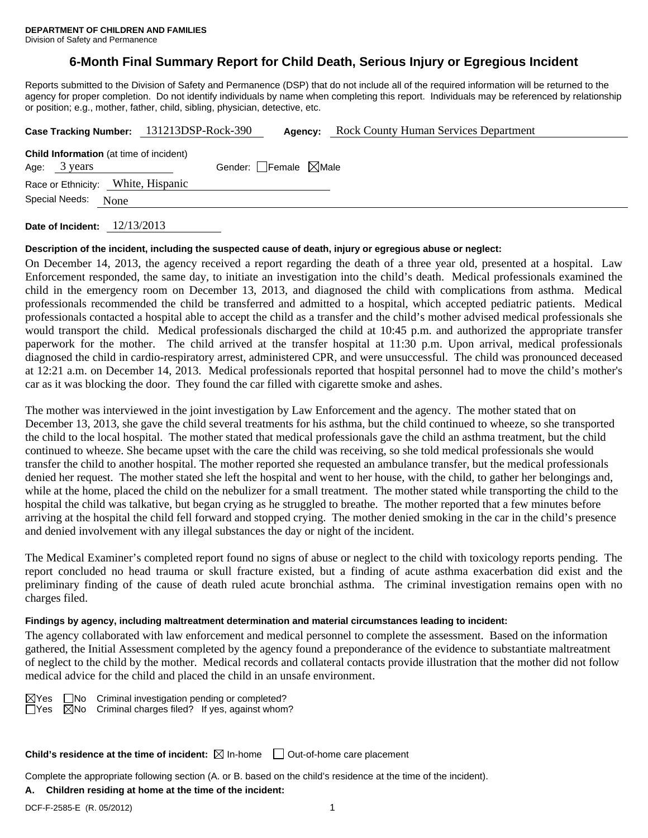# **6-Month Final Summary Report for Child Death, Serious Injury or Egregious Incident**

Reports submitted to the Division of Safety and Permanence (DSP) that do not include all of the required information will be returned to the agency for proper completion. Do not identify individuals by name when completing this report. Individuals may be referenced by relationship or position; e.g., mother, father, child, sibling, physician, detective, etc.

| Case Tracking Number: 131213DSP-Rock-390                       |      |                                 | Agency: | <b>Rock County Human Services Department</b> |
|----------------------------------------------------------------|------|---------------------------------|---------|----------------------------------------------|
| <b>Child Information</b> (at time of incident)<br>Age: 3 years |      | Gender: Female $\boxtimes$ Male |         |                                              |
| Race or Ethnicity: White, Hispanic<br>Special Needs:           | None |                                 |         |                                              |
|                                                                |      |                                 |         |                                              |

**Date of Incident:** 12/13/2013

#### **Description of the incident, including the suspected cause of death, injury or egregious abuse or neglect:**

On December 14, 2013, the agency received a report regarding the death of a three year old, presented at a hospital. Law Enforcement responded, the same day, to initiate an investigation into the child's death. Medical professionals examined the child in the emergency room on December 13, 2013, and diagnosed the child with complications from asthma. Medical professionals recommended the child be transferred and admitted to a hospital, which accepted pediatric patients. Medical professionals contacted a hospital able to accept the child as a transfer and the child's mother advised medical professionals she would transport the child. Medical professionals discharged the child at 10:45 p.m. and authorized the appropriate transfer paperwork for the mother. The child arrived at the transfer hospital at 11:30 p.m. Upon arrival, medical professionals diagnosed the child in cardio-respiratory arrest, administered CPR, and were unsuccessful. The child was pronounced deceased at 12:21 a.m. on December 14, 2013. Medical professionals reported that hospital personnel had to move the child's mother's car as it was blocking the door. They found the car filled with cigarette smoke and ashes.

The mother was interviewed in the joint investigation by Law Enforcement and the agency. The mother stated that on December 13, 2013, she gave the child several treatments for his asthma, but the child continued to wheeze, so she transported the child to the local hospital. The mother stated that medical professionals gave the child an asthma treatment, but the child continued to wheeze. She became upset with the care the child was receiving, so she told medical professionals she would transfer the child to another hospital. The mother reported she requested an ambulance transfer, but the medical professionals denied her request. The mother stated she left the hospital and went to her house, with the child, to gather her belongings and, while at the home, placed the child on the nebulizer for a small treatment. The mother stated while transporting the child to the hospital the child was talkative, but began crying as he struggled to breathe. The mother reported that a few minutes before arriving at the hospital the child fell forward and stopped crying. The mother denied smoking in the car in the child's presence and denied involvement with any illegal substances the day or night of the incident.

The Medical Examiner's completed report found no signs of abuse or neglect to the child with toxicology reports pending. The report concluded no head trauma or skull fracture existed, but a finding of acute asthma exacerbation did exist and the preliminary finding of the cause of death ruled acute bronchial asthma. The criminal investigation remains open with no charges filed.

#### **Findings by agency, including maltreatment determination and material circumstances leading to incident:**

The agency collaborated with law enforcement and medical personnel to complete the assessment. Based on the information gathered, the Initial Assessment completed by the agency found a preponderance of the evidence to substantiate maltreatment of neglect to the child by the mother. Medical records and collateral contacts provide illustration that the mother did not follow medical advice for the child and placed the child in an unsafe environment.

 $\boxtimes$ Yes  $\Box$ No Criminal investigation pending or completed?  $\Box$ Yes  $\Box$ No Criminal charges filed? If yes, against whom?

**Child's residence at the time of incident:** ⊠ In-home □ Out-of-home care placement

Complete the appropriate following section (A. or B. based on the child's residence at the time of the incident).

# **A. Children residing at home at the time of the incident:**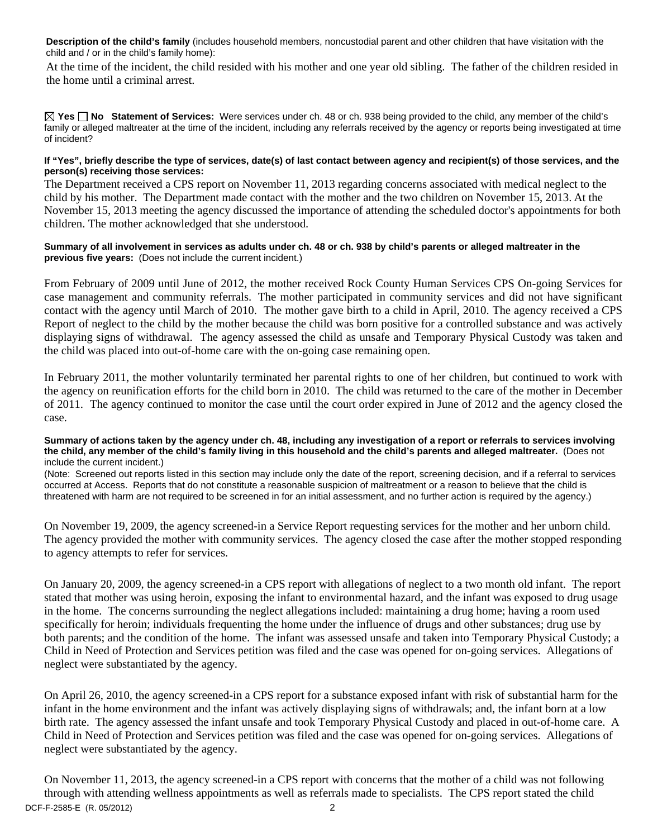**Description of the child's family** (includes household members, noncustodial parent and other children that have visitation with the child and / or in the child's family home):

 At the time of the incident, the child resided with his mother and one year old sibling. The father of the children resided in the home until a criminal arrest.

**Yes No Statement of Services:** Were services under ch. 48 or ch. 938 being provided to the child, any member of the child's family or alleged maltreater at the time of the incident, including any referrals received by the agency or reports being investigated at time of incident?

### **If "Yes", briefly describe the type of services, date(s) of last contact between agency and recipient(s) of those services, and the person(s) receiving those services:**

The Department received a CPS report on November 11, 2013 regarding concerns associated with medical neglect to the child by his mother. The Department made contact with the mother and the two children on November 15, 2013. At the November 15, 2013 meeting the agency discussed the importance of attending the scheduled doctor's appointments for both children. The mother acknowledged that she understood.

### **Summary of all involvement in services as adults under ch. 48 or ch. 938 by child's parents or alleged maltreater in the previous five years:** (Does not include the current incident.)

From February of 2009 until June of 2012, the mother received Rock County Human Services CPS On-going Services for case management and community referrals. The mother participated in community services and did not have significant contact with the agency until March of 2010. The mother gave birth to a child in April, 2010. The agency received a CPS Report of neglect to the child by the mother because the child was born positive for a controlled substance and was actively displaying signs of withdrawal. The agency assessed the child as unsafe and Temporary Physical Custody was taken and the child was placed into out-of-home care with the on-going case remaining open.

In February 2011, the mother voluntarily terminated her parental rights to one of her children, but continued to work with the agency on reunification efforts for the child born in 2010. The child was returned to the care of the mother in December of 2011. The agency continued to monitor the case until the court order expired in June of 2012 and the agency closed the case.

#### **Summary of actions taken by the agency under ch. 48, including any investigation of a report or referrals to services involving the child, any member of the child's family living in this household and the child's parents and alleged maltreater.** (Does not include the current incident.)

(Note: Screened out reports listed in this section may include only the date of the report, screening decision, and if a referral to services occurred at Access. Reports that do not constitute a reasonable suspicion of maltreatment or a reason to believe that the child is threatened with harm are not required to be screened in for an initial assessment, and no further action is required by the agency.)

On November 19, 2009, the agency screened-in a Service Report requesting services for the mother and her unborn child. The agency provided the mother with community services. The agency closed the case after the mother stopped responding to agency attempts to refer for services.

On January 20, 2009, the agency screened-in a CPS report with allegations of neglect to a two month old infant. The report stated that mother was using heroin, exposing the infant to environmental hazard, and the infant was exposed to drug usage in the home. The concerns surrounding the neglect allegations included: maintaining a drug home; having a room used specifically for heroin; individuals frequenting the home under the influence of drugs and other substances; drug use by both parents; and the condition of the home. The infant was assessed unsafe and taken into Temporary Physical Custody; a Child in Need of Protection and Services petition was filed and the case was opened for on-going services. Allegations of neglect were substantiated by the agency.

On April 26, 2010, the agency screened-in a CPS report for a substance exposed infant with risk of substantial harm for the infant in the home environment and the infant was actively displaying signs of withdrawals; and, the infant born at a low birth rate. The agency assessed the infant unsafe and took Temporary Physical Custody and placed in out-of-home care. A Child in Need of Protection and Services petition was filed and the case was opened for on-going services. Allegations of neglect were substantiated by the agency.

DCF-F-2585-E (R. 05/2012) 2 On November 11, 2013, the agency screened-in a CPS report with concerns that the mother of a child was not following through with attending wellness appointments as well as referrals made to specialists. The CPS report stated the child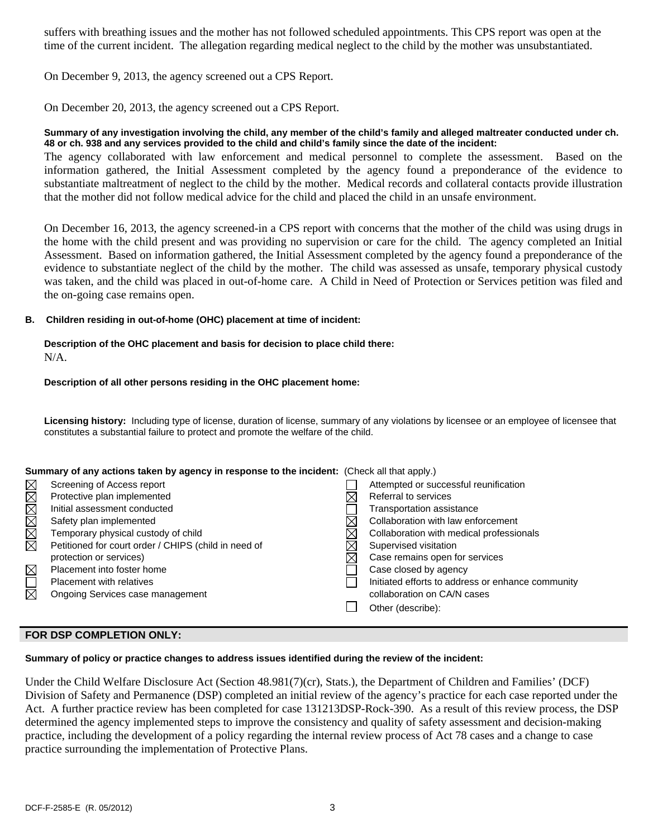suffers with breathing issues and the mother has not followed scheduled appointments. This CPS report was open at the time of the current incident. The allegation regarding medical neglect to the child by the mother was unsubstantiated.

On December 9, 2013, the agency screened out a CPS Report.

On December 20, 2013, the agency screened out a CPS Report.

### **Summary of any investigation involving the child, any member of the child's family and alleged maltreater conducted under ch. 48 or ch. 938 and any services provided to the child and child's family since the date of the incident:**

The agency collaborated with law enforcement and medical personnel to complete the assessment. Based on the information gathered, the Initial Assessment completed by the agency found a preponderance of the evidence to substantiate maltreatment of neglect to the child by the mother. Medical records and collateral contacts provide illustration that the mother did not follow medical advice for the child and placed the child in an unsafe environment.

On December 16, 2013, the agency screened-in a CPS report with concerns that the mother of the child was using drugs in the home with the child present and was providing no supervision or care for the child. The agency completed an Initial Assessment. Based on information gathered, the Initial Assessment completed by the agency found a preponderance of the evidence to substantiate neglect of the child by the mother. The child was assessed as unsafe, temporary physical custody was taken, and the child was placed in out-of-home care. A Child in Need of Protection or Services petition was filed and the on-going case remains open.

## **B. Children residing in out-of-home (OHC) placement at time of incident:**

#### **Description of the OHC placement and basis for decision to place child there:**   $N/A$

## **Description of all other persons residing in the OHC placement home:**

**Licensing history:** Including type of license, duration of license, summary of any violations by licensee or an employee of licensee that constitutes a substantial failure to protect and promote the welfare of the child.

#### **Summary of any actions taken by agency in response to the incident:** (Check all that apply.)

|             | Screening of Access report                           | Attempted or successful reunification             |
|-------------|------------------------------------------------------|---------------------------------------------------|
| MMMMMM      | Protective plan implemented                          | Referral to services                              |
|             | Initial assessment conducted                         | Transportation assistance                         |
|             | Safety plan implemented                              | Collaboration with law enforcement                |
|             | Temporary physical custody of child                  | Collaboration with medical professionals          |
|             | Petitioned for court order / CHIPS (child in need of | Supervised visitation                             |
|             | protection or services)                              | Case remains open for services                    |
| $\boxtimes$ | Placement into foster home                           | Case closed by agency                             |
| $\Box$      | <b>Placement with relatives</b>                      | Initiated efforts to address or enhance community |
| 岗           | Ongoing Services case management                     | collaboration on CA/N cases                       |
|             |                                                      | Other (describe):                                 |
|             |                                                      |                                                   |

## **FOR DSP COMPLETION ONLY:**

## **Summary of policy or practice changes to address issues identified during the review of the incident:**

Under the Child Welfare Disclosure Act (Section 48.981(7)(cr), Stats.), the Department of Children and Families' (DCF) Division of Safety and Permanence (DSP) completed an initial review of the agency's practice for each case reported under the Act. A further practice review has been completed for case 131213DSP-Rock-390. As a result of this review process, the DSP determined the agency implemented steps to improve the consistency and quality of safety assessment and decision-making practice, including the development of a policy regarding the internal review process of Act 78 cases and a change to case practice surrounding the implementation of Protective Plans.